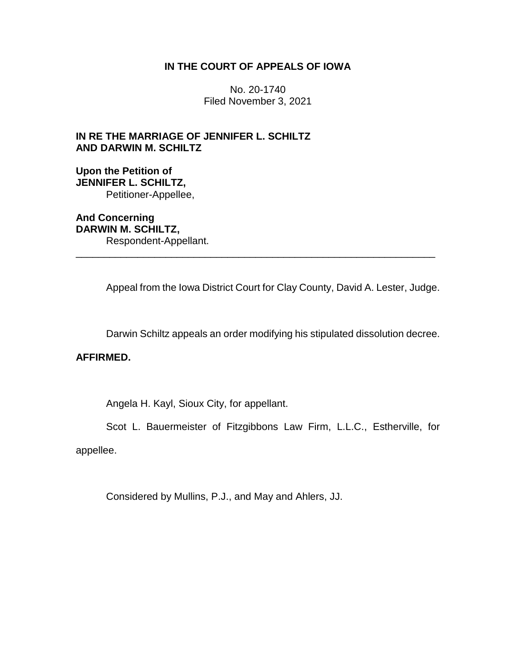# **IN THE COURT OF APPEALS OF IOWA**

No. 20-1740 Filed November 3, 2021

**IN RE THE MARRIAGE OF JENNIFER L. SCHILTZ AND DARWIN M. SCHILTZ**

**Upon the Petition of JENNIFER L. SCHILTZ,** Petitioner-Appellee,

**And Concerning DARWIN M. SCHILTZ,** Respondent-Appellant.

Appeal from the Iowa District Court for Clay County, David A. Lester, Judge.

\_\_\_\_\_\_\_\_\_\_\_\_\_\_\_\_\_\_\_\_\_\_\_\_\_\_\_\_\_\_\_\_\_\_\_\_\_\_\_\_\_\_\_\_\_\_\_\_\_\_\_\_\_\_\_\_\_\_\_\_\_\_\_\_

Darwin Schiltz appeals an order modifying his stipulated dissolution decree.

# **AFFIRMED.**

Angela H. Kayl, Sioux City, for appellant.

Scot L. Bauermeister of Fitzgibbons Law Firm, L.L.C., Estherville, for

appellee.

Considered by Mullins, P.J., and May and Ahlers, JJ.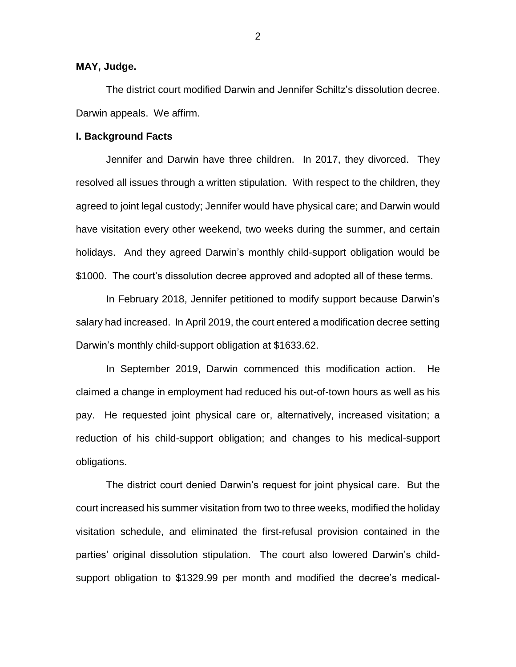# **MAY, Judge.**

The district court modified Darwin and Jennifer Schiltz's dissolution decree. Darwin appeals. We affirm.

## **I. Background Facts**

Jennifer and Darwin have three children. In 2017, they divorced. They resolved all issues through a written stipulation. With respect to the children, they agreed to joint legal custody; Jennifer would have physical care; and Darwin would have visitation every other weekend, two weeks during the summer, and certain holidays. And they agreed Darwin's monthly child-support obligation would be \$1000. The court's dissolution decree approved and adopted all of these terms.

In February 2018, Jennifer petitioned to modify support because Darwin's salary had increased. In April 2019, the court entered a modification decree setting Darwin's monthly child-support obligation at \$1633.62.

In September 2019, Darwin commenced this modification action. He claimed a change in employment had reduced his out-of-town hours as well as his pay. He requested joint physical care or, alternatively, increased visitation; a reduction of his child-support obligation; and changes to his medical-support obligations.

The district court denied Darwin's request for joint physical care. But the court increased his summer visitation from two to three weeks, modified the holiday visitation schedule, and eliminated the first-refusal provision contained in the parties' original dissolution stipulation. The court also lowered Darwin's childsupport obligation to \$1329.99 per month and modified the decree's medical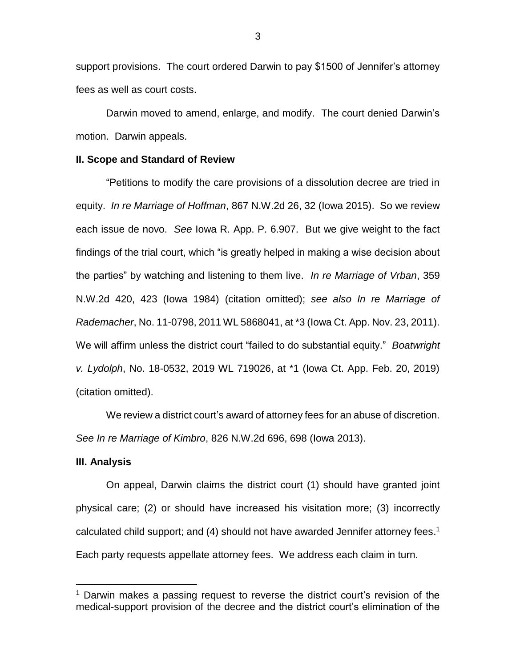support provisions. The court ordered Darwin to pay \$1500 of Jennifer's attorney fees as well as court costs.

Darwin moved to amend, enlarge, and modify. The court denied Darwin's motion. Darwin appeals.

## **II. Scope and Standard of Review**

"Petitions to modify the care provisions of a dissolution decree are tried in equity. *In re Marriage of Hoffman*, 867 N.W.2d 26, 32 (Iowa 2015). So we review each issue de novo. *See* Iowa R. App. P. 6.907. But we give weight to the fact findings of the trial court, which "is greatly helped in making a wise decision about the parties" by watching and listening to them live. *In re Marriage of Vrban*, 359 N.W.2d 420, 423 (Iowa 1984) (citation omitted); *see also In re Marriage of Rademacher*, No. 11-0798, 2011 WL 5868041, at \*3 (Iowa Ct. App. Nov. 23, 2011). We will affirm unless the district court "failed to do substantial equity." *Boatwright v. Lydolph*, No. 18-0532, 2019 WL 719026, at \*1 (Iowa Ct. App. Feb. 20, 2019) (citation omitted).

We review a district court's award of attorney fees for an abuse of discretion. *See In re Marriage of Kimbro*, 826 N.W.2d 696, 698 (Iowa 2013).

#### **III. Analysis**

 $\overline{a}$ 

On appeal, Darwin claims the district court (1) should have granted joint physical care; (2) or should have increased his visitation more; (3) incorrectly calculated child support; and (4) should not have awarded Jennifer attorney fees. 1 Each party requests appellate attorney fees. We address each claim in turn.

 $1$  Darwin makes a passing request to reverse the district court's revision of the medical-support provision of the decree and the district court's elimination of the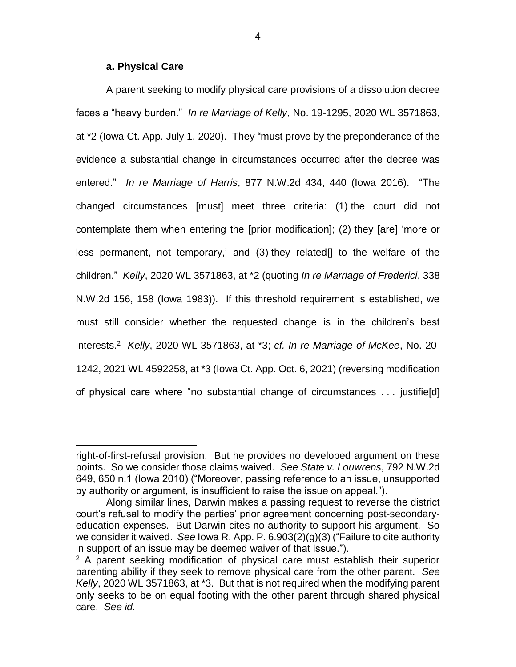# **a. Physical Care**

 $\overline{a}$ 

A parent seeking to modify physical care provisions of a dissolution decree faces a "heavy burden." *In re Marriage of Kelly*, No. 19-1295, 2020 WL 3571863, at \*2 (Iowa Ct. App. July 1, 2020). They "must prove by the preponderance of the evidence a substantial change in circumstances occurred after the decree was entered." *In re Marriage of Harris*, 877 N.W.2d 434, 440 (Iowa 2016). "The changed circumstances [must] meet three criteria: (1) the court did not contemplate them when entering the [prior modification]; (2) they [are] 'more or less permanent, not temporary,' and (3) they related[] to the welfare of the children." *Kelly*, 2020 WL 3571863, at \*2 (quoting *In re Marriage of Frederici*, 338 N.W.2d 156, 158 (Iowa 1983)). If this threshold requirement is established, we must still consider whether the requested change is in the children's best interests.<sup>2</sup> *Kelly*, 2020 WL 3571863, at \*3; *cf. In re Marriage of McKee*, No. 20- 1242, 2021 WL 4592258, at \*3 (Iowa Ct. App. Oct. 6, 2021) (reversing modification of physical care where "no substantial change of circumstances . . . justifie[d]

right-of-first-refusal provision. But he provides no developed argument on these points. So we consider those claims waived. *See State v. Louwrens*, 792 N.W.2d 649, 650 n.1 (Iowa 2010) ("Moreover, passing reference to an issue, unsupported by authority or argument, is insufficient to raise the issue on appeal.").

Along similar lines, Darwin makes a passing request to reverse the district court's refusal to modify the parties' prior agreement concerning post-secondaryeducation expenses. But Darwin cites no authority to support his argument. So we consider it waived. *See* Iowa R. App. P. 6.903(2)(g)(3) ("Failure to cite authority in support of an issue may be deemed waiver of that issue.").

<sup>&</sup>lt;sup>2</sup> A parent seeking modification of physical care must establish their superior parenting ability if they seek to remove physical care from the other parent. *See Kelly*, 2020 WL 3571863, at \*3. But that is not required when the modifying parent only seeks to be on equal footing with the other parent through shared physical care. *See id.*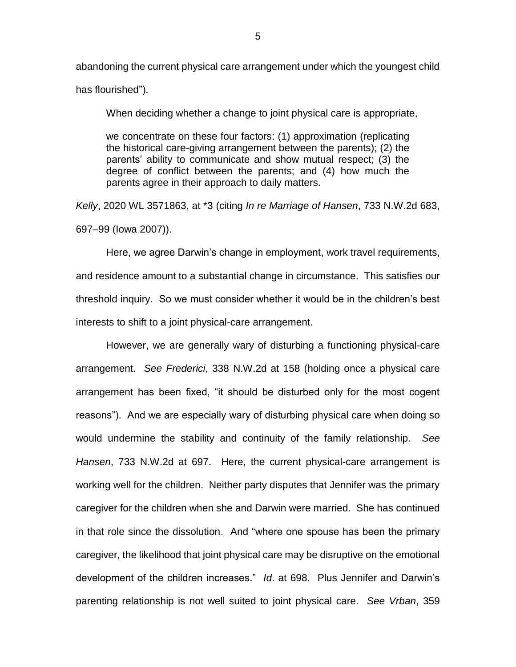abandoning the current physical care arrangement under which the youngest child has flourished").

When deciding whether a change to joint physical care is appropriate,

we concentrate on these four factors: (1) approximation (replicating the historical care-giving arrangement between the parents); (2) the parents' ability to communicate and show mutual respect; (3) the degree of conflict between the parents; and (4) how much the parents agree in their approach to daily matters.

*Kelly*, 2020 WL 3571863, at \*3 (citing *In re Marriage of Hansen*, 733 N.W.2d 683, 697–99 (Iowa 2007)).

Here, we agree Darwin's change in employment, work travel requirements, and residence amount to a substantial change in circumstance. This satisfies our threshold inquiry. So we must consider whether it would be in the children's best interests to shift to a joint physical-care arrangement.

However, we are generally wary of disturbing a functioning physical-care arrangement. *See Frederici*, 338 N.W.2d at 158 (holding once a physical care arrangement has been fixed, "it should be disturbed only for the most cogent reasons"). And we are especially wary of disturbing physical care when doing so would undermine the stability and continuity of the family relationship. *See Hansen*, 733 N.W.2d at 697. Here, the current physical-care arrangement is working well for the children. Neither party disputes that Jennifer was the primary caregiver for the children when she and Darwin were married. She has continued in that role since the dissolution. And "where one spouse has been the primary caregiver, the likelihood that joint physical care may be disruptive on the emotional development of the children increases." *Id*. at 698. Plus Jennifer and Darwin's parenting relationship is not well suited to joint physical care. *See Vrban*, 359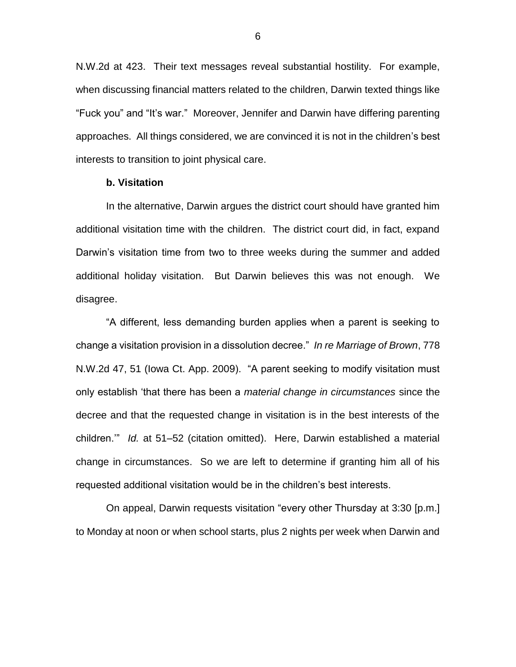N.W.2d at 423. Their text messages reveal substantial hostility. For example, when discussing financial matters related to the children, Darwin texted things like "Fuck you" and "It's war." Moreover, Jennifer and Darwin have differing parenting approaches. All things considered, we are convinced it is not in the children's best interests to transition to joint physical care.

## **b. Visitation**

In the alternative, Darwin argues the district court should have granted him additional visitation time with the children. The district court did, in fact, expand Darwin's visitation time from two to three weeks during the summer and added additional holiday visitation. But Darwin believes this was not enough. We disagree.

"A different, less demanding burden applies when a parent is seeking to change a visitation provision in a dissolution decree." *In re Marriage of Brown*, 778 N.W.2d 47, 51 (Iowa Ct. App. 2009). "A parent seeking to modify visitation must only establish 'that there has been a *material change in circumstances* since the decree and that the requested change in visitation is in the best interests of the children.'" *Id.* at 51–52 (citation omitted). Here, Darwin established a material change in circumstances. So we are left to determine if granting him all of his requested additional visitation would be in the children's best interests.

On appeal, Darwin requests visitation "every other Thursday at 3:30 [p.m.] to Monday at noon or when school starts, plus 2 nights per week when Darwin and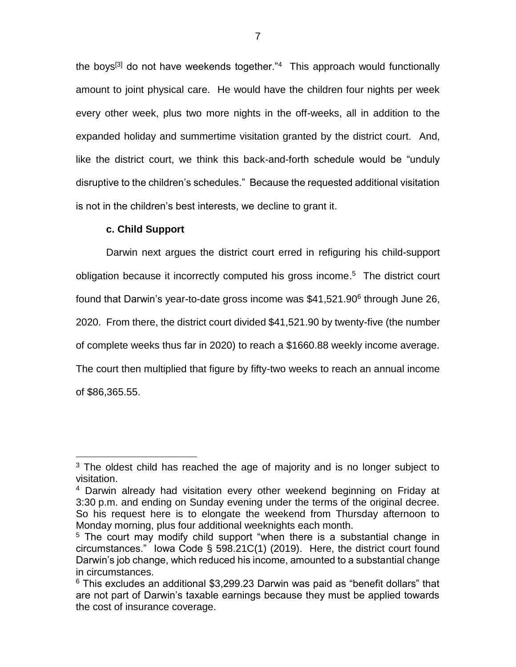the boys<sup>[3]</sup> do not have weekends together."<sup>4</sup> This approach would functionally amount to joint physical care. He would have the children four nights per week every other week, plus two more nights in the off-weeks, all in addition to the expanded holiday and summertime visitation granted by the district court. And, like the district court, we think this back-and-forth schedule would be "unduly disruptive to the children's schedules." Because the requested additional visitation is not in the children's best interests, we decline to grant it.

# **c. Child Support**

 $\overline{a}$ 

Darwin next argues the district court erred in refiguring his child-support obligation because it incorrectly computed his gross income. 5 The district court found that Darwin's year-to-date gross income was \$41,521.90<sup>6</sup> through June 26, 2020. From there, the district court divided \$41,521.90 by twenty-five (the number of complete weeks thus far in 2020) to reach a \$1660.88 weekly income average. The court then multiplied that figure by fifty-two weeks to reach an annual income of \$86,365.55.

 $3$  The oldest child has reached the age of majority and is no longer subject to visitation.

<sup>4</sup> Darwin already had visitation every other weekend beginning on Friday at 3:30 p.m. and ending on Sunday evening under the terms of the original decree. So his request here is to elongate the weekend from Thursday afternoon to Monday morning, plus four additional weeknights each month.

<sup>&</sup>lt;sup>5</sup> The court may modify child support "when there is a substantial change in circumstances." Iowa Code § 598.21C(1) (2019). Here, the district court found Darwin's job change, which reduced his income, amounted to a substantial change in circumstances.

 $6$  This excludes an additional \$3,299.23 Darwin was paid as "benefit dollars" that are not part of Darwin's taxable earnings because they must be applied towards the cost of insurance coverage.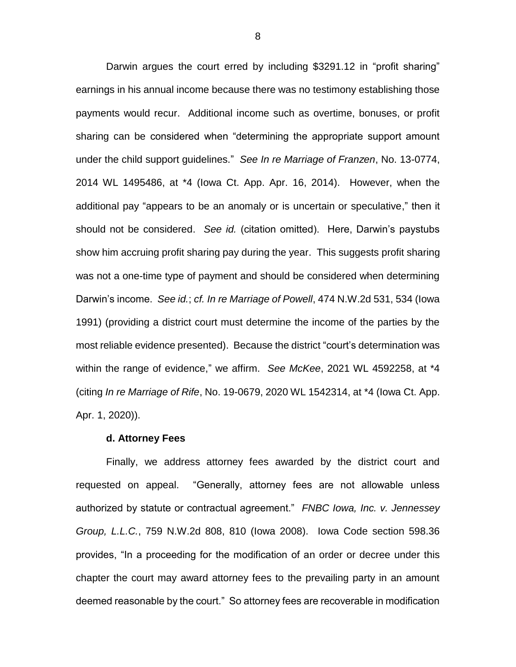Darwin argues the court erred by including \$3291.12 in "profit sharing" earnings in his annual income because there was no testimony establishing those payments would recur. Additional income such as overtime, bonuses, or profit sharing can be considered when "determining the appropriate support amount under the child support guidelines." *See In re Marriage of Franzen*, No. 13-0774, 2014 WL 1495486, at \*4 (Iowa Ct. App. Apr. 16, 2014). However, when the additional pay "appears to be an anomaly or is uncertain or speculative," then it should not be considered. *See id.* (citation omitted). Here, Darwin's paystubs show him accruing profit sharing pay during the year. This suggests profit sharing was not a one-time type of payment and should be considered when determining Darwin's income. *See id.*; *cf. In re Marriage of Powell*, 474 N.W.2d 531, 534 (Iowa 1991) (providing a district court must determine the income of the parties by the most reliable evidence presented). Because the district "court's determination was within the range of evidence," we affirm. *See McKee*, 2021 WL 4592258, at \*4 (citing *In re Marriage of Rife*, No. 19-0679, 2020 WL 1542314, at \*4 (Iowa Ct. App. Apr. 1, 2020)).

#### **d. Attorney Fees**

Finally, we address attorney fees awarded by the district court and requested on appeal. "Generally, attorney fees are not allowable unless authorized by statute or contractual agreement." *FNBC Iowa, Inc. v. Jennessey Group, L.L.C.*, 759 N.W.2d 808, 810 (Iowa 2008). Iowa Code section 598.36 provides, "In a proceeding for the modification of an order or decree under this chapter the court may award attorney fees to the prevailing party in an amount deemed reasonable by the court." So attorney fees are recoverable in modification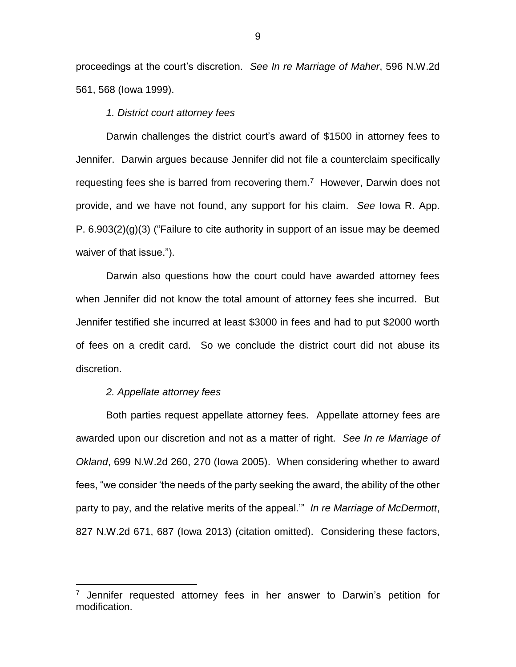proceedings at the court's discretion. *See In re Marriage of Maher*, 596 N.W.2d 561, 568 (Iowa 1999).

## *1. District court attorney fees*

Darwin challenges the district court's award of \$1500 in attorney fees to Jennifer. Darwin argues because Jennifer did not file a counterclaim specifically requesting fees she is barred from recovering them.<sup>7</sup> However, Darwin does not provide, and we have not found, any support for his claim. *See* Iowa R. App. P. 6.903(2)(g)(3) ("Failure to cite authority in support of an issue may be deemed waiver of that issue.").

Darwin also questions how the court could have awarded attorney fees when Jennifer did not know the total amount of attorney fees she incurred. But Jennifer testified she incurred at least \$3000 in fees and had to put \$2000 worth of fees on a credit card. So we conclude the district court did not abuse its discretion.

## *2. Appellate attorney fees*

 $\overline{a}$ 

Both parties request appellate attorney fees. Appellate attorney fees are awarded upon our discretion and not as a matter of right. *See In re Marriage of Okland*, 699 N.W.2d 260, 270 (Iowa 2005). When considering whether to award fees, "we consider 'the needs of the party seeking the award, the ability of the other party to pay, and the relative merits of the appeal.'" *In re Marriage of McDermott*, 827 N.W.2d 671, 687 (Iowa 2013) (citation omitted). Considering these factors,

 $7$  Jennifer requested attorney fees in her answer to Darwin's petition for modification.